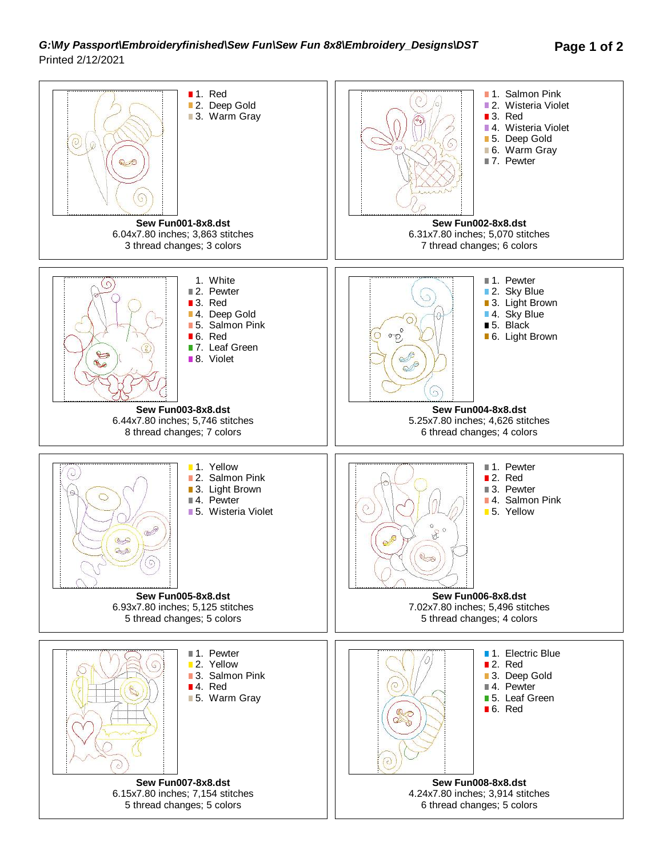## *G:\My Passport\Embroideryfinished\Sew Fun\Sew Fun 8x8\Embroidery\_Designs\DST* **Page 1 of 2** Printed 2/12/2021